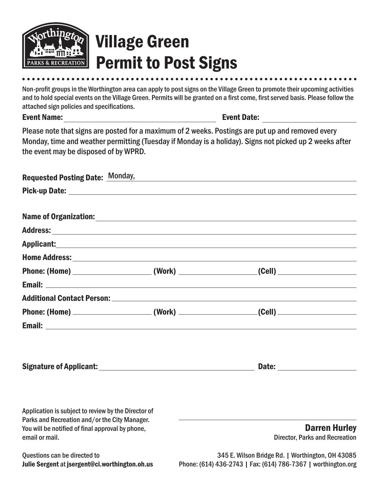

## Village Green Permit to Post Signs

Non-profit groups in the Worthington area can apply to post signs on the Village Green to promote their upcoming activities and to hold special events on the Village Green. Permits will be granted on a first come, first served basis. Please follow the attached sign policies and specifications.

|                                                         | Event Date: <u>______________________</u>                                                                                                                                                                                           |  |
|---------------------------------------------------------|-------------------------------------------------------------------------------------------------------------------------------------------------------------------------------------------------------------------------------------|--|
| the event may be disposed of by WPRD.                   | Please note that signs are posted for a maximum of 2 weeks. Postings are put up and removed every<br>Monday, time and weather permitting (Tuesday if Monday is a holiday). Signs not picked up 2 weeks after                        |  |
|                                                         | Requested Posting Date: Monday,                                                                                                                                                                                                     |  |
|                                                         |                                                                                                                                                                                                                                     |  |
| Name of Organization:<br><u> Name of Organization</u> : |                                                                                                                                                                                                                                     |  |
|                                                         |                                                                                                                                                                                                                                     |  |
|                                                         |                                                                                                                                                                                                                                     |  |
|                                                         | <b>Home Address:</b> National Address: National Address: National Address: National Address: National Address: National Address: National Address: National Address: National Address: National Address: National Address: National |  |
|                                                         |                                                                                                                                                                                                                                     |  |
|                                                         |                                                                                                                                                                                                                                     |  |
|                                                         |                                                                                                                                                                                                                                     |  |

| <b>Phone: (Home)</b> | (Work) | (Cell) |
|----------------------|--------|--------|
| <b>Email:</b>        |        |        |
|                      |        |        |

| <b>Signature of Applicant:</b> | <b>Date:</b> |
|--------------------------------|--------------|
|                                |              |

Application is subject to review by the Director of Parks and Recreation and/or the City Manager. You will be notified of final approval by phone, email or mail.

### Darren Hurley Director, Parks and Recreation

Questions can be directed to Julie Sergent at jsergent@ci.worthington.oh.us

345 E. Wilson Bridge Rd. | Worthington, OH 43085 Phone: (614) 436-2743 | Fax: (614) 786-7367 | worthington.org